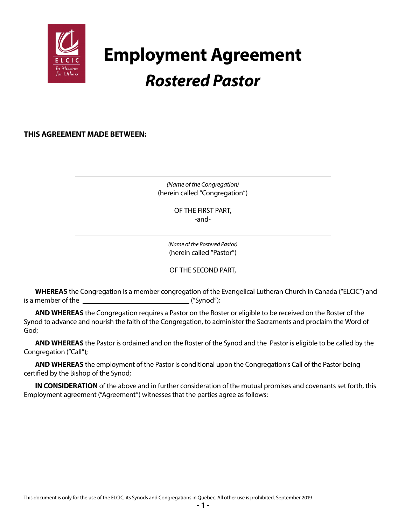

# **Employment Agreement** *Rostered Pastor*

**THIS AGREEMENT MADE BETWEEN:**

*(Name of the Congregation)* (herein called "Congregation")

> OF THE FIRST PART, -and-

*(Name of the Rostered Pastor)* (herein called "Pastor")

OF THE SECOND PART,

**WHEREAS** the Congregation is a member congregation of the Evangelical Lutheran Church in Canada ("ELCIC") and is a member of the  $\qquad \qquad$  ("Synod");

**AND WHEREAS** the Congregation requires a Pastor on the Roster or eligible to be received on the Roster of the Synod to advance and nourish the faith of the Congregation, to administer the Sacraments and proclaim the Word of God;

**AND WHEREAS** the Pastor is ordained and on the Roster of the Synod and the Pastor is eligible to be called by the Congregation ("Call");

**AND WHEREAS** the employment of the Pastor is conditional upon the Congregation's Call of the Pastor being certified by the Bishop of the Synod;

**IN CONSIDERATION** of the above and in further consideration of the mutual promises and covenants set forth, this Employment agreement ("Agreement") witnesses that the parties agree as follows: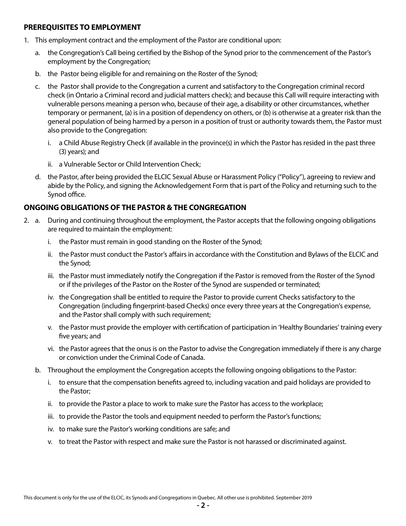#### **PREREQUISITES TO EMPLOYMENT**

- 1. This employment contract and the employment of the Pastor are conditional upon:
	- a. the Congregation's Call being certified by the Bishop of the Synod prior to the commencement of the Pastor's employment by the Congregation;
	- b. the Pastor being eligible for and remaining on the Roster of the Synod;
	- c. the Pastor shall provide to the Congregation a current and satisfactory to the Congregation criminal record check (in Ontario a Criminal record and judicial matters check); and because this Call will require interacting with vulnerable persons meaning a person who, because of their age, a disability or other circumstances, whether temporary or permanent, (a) is in a position of dependency on others, or (b) is otherwise at a greater risk than the general population of being harmed by a person in a position of trust or authority towards them, the Pastor must also provide to the Congregation:
		- i. a Child Abuse Registry Check (if available in the province(s) in which the Pastor has resided in the past three (3) years); and
		- ii. a Vulnerable Sector or Child Intervention Check;
	- d. the Pastor, after being provided the ELCIC Sexual Abuse or Harassment Policy ("Policy"), agreeing to review and abide by the Policy, and signing the Acknowledgement Form that is part of the Policy and returning such to the Synod office.

## **ONGOING OBLIGATIONS OF THE PASTOR & THE CONGREGATION**

- 2. a. During and continuing throughout the employment, the Pastor accepts that the following ongoing obligations are required to maintain the employment:
	- i. the Pastor must remain in good standing on the Roster of the Synod;
	- ii. the Pastor must conduct the Pastor's affairs in accordance with the Constitution and Bylaws of the ELCIC and the Synod;
	- iii. the Pastor must immediately notify the Congregation if the Pastor is removed from the Roster of the Synod or if the privileges of the Pastor on the Roster of the Synod are suspended or terminated;
	- iv. the Congregation shall be entitled to require the Pastor to provide current Checks satisfactory to the Congregation (including fingerprint-based Checks) once every three years at the Congregation's expense, and the Pastor shall comply with such requirement;
	- v. the Pastor must provide the employer with certification of participation in 'Healthy Boundaries' training every five years; and
	- vi. the Pastor agrees that the onus is on the Pastor to advise the Congregation immediately if there is any charge or conviction under the Criminal Code of Canada.
	- b. Throughout the employment the Congregation accepts the following ongoing obligations to the Pastor:
		- i. to ensure that the compensation benefits agreed to, including vacation and paid holidays are provided to the Pastor;
		- ii. to provide the Pastor a place to work to make sure the Pastor has access to the workplace;
		- iii. to provide the Pastor the tools and equipment needed to perform the Pastor's functions;
		- iv. to make sure the Pastor's working conditions are safe; and
		- v. to treat the Pastor with respect and make sure the Pastor is not harassed or discriminated against.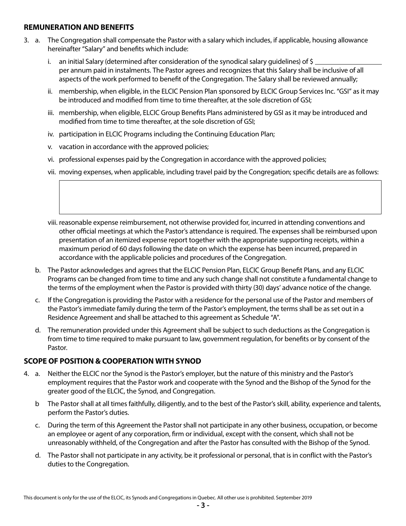#### **REMUNERATION AND BENEFITS**

- 3. a. The Congregation shall compensate the Pastor with a salary which includes, if applicable, housing allowance hereinafter "Salary" and benefits which include:
	- i. an initial Salary (determined after consideration of the synodical salary quidelines) of \$ per annum paid in instalments. The Pastor agrees and recognizes that this Salary shall be inclusive of all aspects of the work performed to benefit of the Congregation. The Salary shall be reviewed annually;
	- ii. membership, when eligible, in the ELCIC Pension Plan sponsored by ELCIC Group Services Inc. "GSI" as it may be introduced and modified from time to time thereafter, at the sole discretion of GSI;
	- iii. membership, when eligible, ELCIC Group Benefits Plans administered by GSI as it may be introduced and modified from time to time thereafter, at the sole discretion of GSI;
	- iv. participation in ELCIC Programs including the Continuing Education Plan;
	- v. vacation in accordance with the approved policies;
	- vi. professional expenses paid by the Congregation in accordance with the approved policies;
	- vii. moving expenses, when applicable, including travel paid by the Congregation; specific details are as follows:

 viii. reasonable expense reimbursement, not otherwise provided for, incurred in attending conventions and other official meetings at which the Pastor's attendance is required. The expenses shall be reimbursed upon presentation of an itemized expense report together with the appropriate supporting receipts, within a maximum period of 60 days following the date on which the expense has been incurred, prepared in accordance with the applicable policies and procedures of the Congregation.

- b. The Pastor acknowledges and agrees that the ELCIC Pension Plan, ELCIC Group Benefit Plans, and any ELCIC Programs can be changed from time to time and any such change shall not constitute a fundamental change to the terms of the employment when the Pastor is provided with thirty (30) days' advance notice of the change.
- c. If the Congregation is providing the Pastor with a residence for the personal use of the Pastor and members of the Pastor's immediate family during the term of the Pastor's employment, the terms shall be as set out in a Residence Agreement and shall be attached to this agreement as Schedule "A".
- d. The remuneration provided under this Agreement shall be subject to such deductions as the Congregation is from time to time required to make pursuant to law, government regulation, for benefits or by consent of the Pastor.

## **SCOPE OF POSITION & COOPERATION WITH SYNOD**

- 4. a. Neither the ELCIC nor the Synod is the Pastor's employer, but the nature of this ministry and the Pastor's employment requires that the Pastor work and cooperate with the Synod and the Bishop of the Synod for the greater good of the ELCIC, the Synod, and Congregation.
	- b The Pastor shall at all times faithfully, diligently, and to the best of the Pastor's skill, ability, experience and talents, perform the Pastor's duties.
	- c. During the term of this Agreement the Pastor shall not participate in any other business, occupation, or become an employee or agent of any corporation, firm or individual, except with the consent, which shall not be unreasonably withheld, of the Congregation and after the Pastor has consulted with the Bishop of the Synod.
	- d. The Pastor shall not participate in any activity, be it professional or personal, that is in conflict with the Pastor's duties to the Congregation.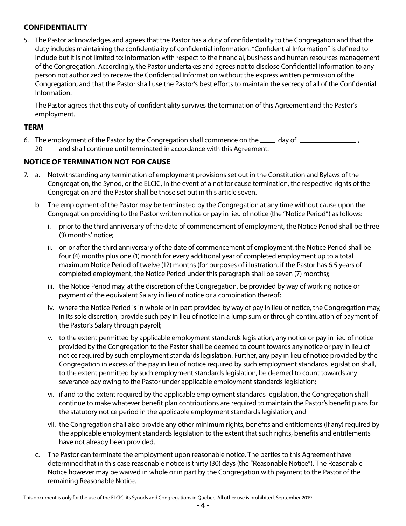## **CONFIDENTIALITY**

5. The Pastor acknowledges and agrees that the Pastor has a duty of confidentiality to the Congregation and that the duty includes maintaining the confidentiality of confidential information. "Confidential Information" is defined to include but it is not limited to: information with respect to the financial, business and human resources management of the Congregation. Accordingly, the Pastor undertakes and agrees not to disclose Confidential Information to any person not authorized to receive the Confidential Information without the express written permission of the Congregation, and that the Pastor shall use the Pastor's best efforts to maintain the secrecy of all of the Confidential Information.

The Pastor agrees that this duty of confidentiality survives the termination of this Agreement and the Pastor's employment.

#### **TERM**

6. The employment of the Pastor by the Congregation shall commence on the  $\mu$  day of  $\mu$ 20  $\mu$  and shall continue until terminated in accordance with this Agreement.

## **NOTICE OF TERMINATION NOT FOR CAUSE**

- 7. a. Notwithstanding any termination of employment provisions set out in the Constitution and Bylaws of the Congregation, the Synod, or the ELCIC, in the event of a not for cause termination, the respective rights of the Congregation and the Pastor shall be those set out in this article seven.
	- b. The employment of the Pastor may be terminated by the Congregation at any time without cause upon the Congregation providing to the Pastor written notice or pay in lieu of notice (the "Notice Period") as follows:
		- i. prior to the third anniversary of the date of commencement of employment, the Notice Period shall be three (3) months' notice;
		- ii. on or after the third anniversary of the date of commencement of employment, the Notice Period shall be four (4) months plus one (1) month for every additional year of completed employment up to a total maximum Notice Period of twelve (12) months (for purposes of illustration, if the Pastor has 6.5 years of completed employment, the Notice Period under this paragraph shall be seven (7) months);
		- iii. the Notice Period may, at the discretion of the Congregation, be provided by way of working notice or payment of the equivalent Salary in lieu of notice or a combination thereof;
		- iv. where the Notice Period is in whole or in part provided by way of pay in lieu of notice, the Congregation may, in its sole discretion, provide such pay in lieu of notice in a lump sum or through continuation of payment of the Pastor's Salary through payroll;
		- v. to the extent permitted by applicable employment standards legislation, any notice or pay in lieu of notice provided by the Congregation to the Pastor shall be deemed to count towards any notice or pay in lieu of notice required by such employment standards legislation. Further, any pay in lieu of notice provided by the Congregation in excess of the pay in lieu of notice required by such employment standards legislation shall, to the extent permitted by such employment standards legislation, be deemed to count towards any severance pay owing to the Pastor under applicable employment standards legislation;
		- vi. if and to the extent required by the applicable employment standards legislation, the Congregation shall continue to make whatever benefit plan contributions are required to maintain the Pastor's benefit plans for the statutory notice period in the applicable employment standards legislation; and
		- vii. the Congregation shall also provide any other minimum rights, benefits and entitlements (if any) required by the applicable employment standards legislation to the extent that such rights, benefits and entitlements have not already been provided.
	- c. The Pastor can terminate the employment upon reasonable notice. The parties to this Agreement have determined that in this case reasonable notice is thirty (30) days (the "Reasonable Notice"). The Reasonable Notice however may be waived in whole or in part by the Congregation with payment to the Pastor of the remaining Reasonable Notice.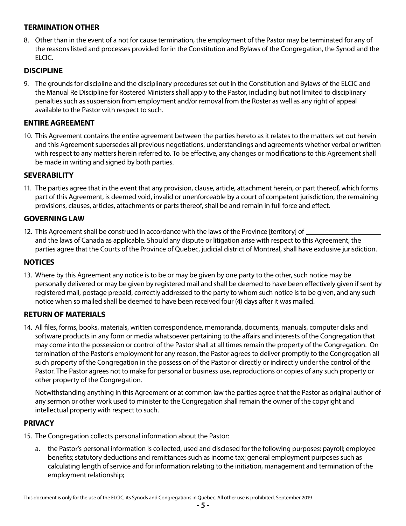## **TERMINATION OTHER**

8. Other than in the event of a not for cause termination, the employment of the Pastor may be terminated for any of the reasons listed and processes provided for in the Constitution and Bylaws of the Congregation, the Synod and the ELCIC.

## **DISCIPLINE**

9. The grounds for discipline and the disciplinary procedures set out in the Constitution and Bylaws of the ELCIC and the Manual Re Discipline for Rostered Ministers shall apply to the Pastor, including but not limited to disciplinary penalties such as suspension from employment and/or removal from the Roster as well as any right of appeal available to the Pastor with respect to such.

### **ENTIRE AGREEMENT**

10. This Agreement contains the entire agreement between the parties hereto as it relates to the matters set out herein and this Agreement supersedes all previous negotiations, understandings and agreements whether verbal or written with respect to any matters herein referred to. To be effective, any changes or modifications to this Agreement shall be made in writing and signed by both parties.

#### **SEVERABILITY**

11. The parties agree that in the event that any provision, clause, article, attachment herein, or part thereof, which forms part of this Agreement, is deemed void, invalid or unenforceable by a court of competent jurisdiction, the remaining provisions, clauses, articles, attachments or parts thereof, shall be and remain in full force and effect.

#### **GOVERNING LAW**

12. This Agreement shall be construed in accordance with the laws of the Province [territory] of  $\equiv$ and the laws of Canada as applicable. Should any dispute or litigation arise with respect to this Agreement, the parties agree that the Courts of the Province of Quebec, judicial district of Montreal, shall have exclusive jurisdiction.

#### **NOTICES**

13. Where by this Agreement any notice is to be or may be given by one party to the other, such notice may be personally delivered or may be given by registered mail and shall be deemed to have been effectively given if sent by registered mail, postage prepaid, correctly addressed to the party to whom such notice is to be given, and any such notice when so mailed shall be deemed to have been received four (4) days after it was mailed.

#### **RETURN OF MATERIALS**

14. All files, forms, books, materials, written correspondence, memoranda, documents, manuals, computer disks and software products in any form or media whatsoever pertaining to the affairs and interests of the Congregation that may come into the possession or control of the Pastor shall at all times remain the property of the Congregation. On termination of the Pastor's employment for any reason, the Pastor agrees to deliver promptly to the Congregation all such property of the Congregation in the possession of the Pastor or directly or indirectly under the control of the Pastor. The Pastor agrees not to make for personal or business use, reproductions or copies of any such property or other property of the Congregation.

Notwithstanding anything in this Agreement or at common law the parties agree that the Pastor as original author of any sermon or other work used to minister to the Congregation shall remain the owner of the copyright and intellectual property with respect to such.

#### **PRIVACY**

- 15. The Congregation collects personal information about the Pastor:
	- a. the Pastor's personal information is collected, used and disclosed for the following purposes: payroll; employee benefits; statutory deductions and remittances such as income tax; general employment purposes such as calculating length of service and for information relating to the initiation, management and termination of the employment relationship;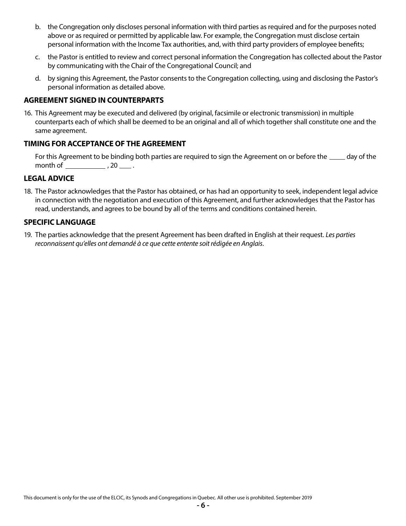- b. the Congregation only discloses personal information with third parties as required and for the purposes noted above or as required or permitted by applicable law. For example, the Congregation must disclose certain personal information with the Income Tax authorities, and, with third party providers of employee benefits;
- c. the Pastor is entitled to review and correct personal information the Congregation has collected about the Pastor by communicating with the Chair of the Congregational Council; and
- d. by signing this Agreement, the Pastor consents to the Congregation collecting, using and disclosing the Pastor's personal information as detailed above.

#### **AGREEMENT SIGNED IN COUNTERPARTS**

16. This Agreement may be executed and delivered (by original, facsimile or electronic transmission) in multiple counterparts each of which shall be deemed to be an original and all of which together shall constitute one and the same agreement.

#### **TIMING FOR ACCEPTANCE OF THE AGREEMENT**

For this Agreement to be binding both parties are required to sign the Agreement on or before the \_\_\_\_\_ day of the month of  $\frac{1}{2}$ , 20  $\frac{1}{2}$ .

#### **LEGAL ADVICE**

18. The Pastor acknowledges that the Pastor has obtained, or has had an opportunity to seek, independent legal advice in connection with the negotiation and execution of this Agreement, and further acknowledges that the Pastor has read, understands, and agrees to be bound by all of the terms and conditions contained herein.

#### **SPECIFIC LANGUAGE**

19. The parties acknowledge that the present Agreement has been drafted in English at their request. *Les parties reconnaissent qu'elles ont demandé à ce que cette entente soit rédigée en Anglais*.